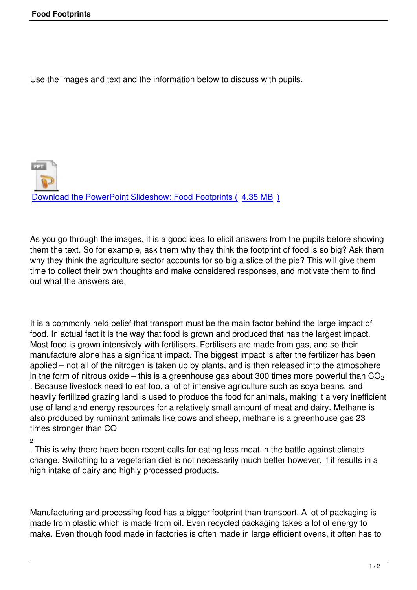Use the images and text and the information below to discuss with pupils.

**PPT** Download the PowerPoint Slideshow: Food Footprints ( 4.35 MB )

[As you go through the images, it is a good idea to elicit answers from](index.php?option=com_docman&task=doc_download&gid=70&Itemid=47) the pupils before showing them the text. So for example, ask them why they think the footprint of food is so big? Ask them why they think the agriculture sector accounts for so big a slice of the pie? This will give them time to collect their own thoughts and make considered responses, and motivate them to find out what the answers are.

It is a commonly held belief that transport must be the main factor behind the large impact of food. In actual fact it is the way that food is grown and produced that has the largest impact. Most food is grown intensively with fertilisers. Fertilisers are made from gas, and so their manufacture alone has a significant impact. The biggest impact is after the fertilizer has been applied – not all of the nitrogen is taken up by plants, and is then released into the atmosphere in the form of nitrous oxide – this is a greenhouse gas about 300 times more powerful than  $CO<sub>2</sub>$ . Because livestock need to eat too, a lot of intensive agriculture such as soya beans, and heavily fertilized grazing land is used to produce the food for animals, making it a very inefficient use of land and energy resources for a relatively small amount of meat and dairy. Methane is also produced by ruminant animals like cows and sheep, methane is a greenhouse gas 23 times stronger than CO

2

. This is why there have been recent calls for eating less meat in the battle against climate change. Switching to a vegetarian diet is not necessarily much better however, if it results in a high intake of dairy and highly processed products.

Manufacturing and processing food has a bigger footprint than transport. A lot of packaging is made from plastic which is made from oil. Even recycled packaging takes a lot of energy to make. Even though food made in factories is often made in large efficient ovens, it often has to